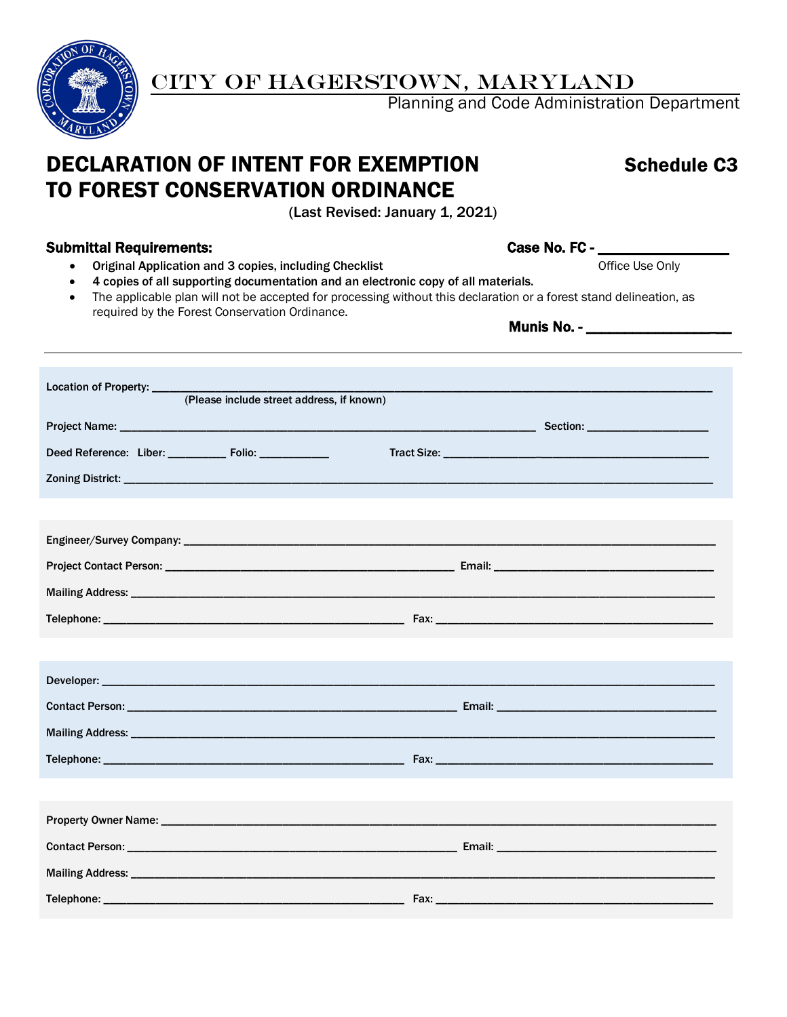

# CITY OF HAGERSTOWN, MARYLAND

Planning and Code Administration Department

# DECLARATION OF INTENT FOR EXEMPTION Schedule C3 TO FOREST CONSERVATION ORDINANCE

(Last Revised: January 1, 2021)

# Submittal Requirements: Case No. FC - \_\_\_\_\_\_\_\_\_\_\_\_\_\_\_\_\_

- Original Application and 3 copies, including Checklist Check and Check and Check and Check is extended Use Only
- 4 copies of all supporting documentation and an electronic copy of all materials.
- The applicable plan will not be accepted for processing without this declaration or a forest stand delineation, as required by the Forest Conservation Ordinance. Munis No. - \_\_\_\_\_\_\_\_\_\_\_\_\_\_\_\_\_\_\_

| Location of Property: _____                               |                                           |  |  |
|-----------------------------------------------------------|-------------------------------------------|--|--|
|                                                           | (Please include street address, if known) |  |  |
|                                                           |                                           |  |  |
| Deed Reference: Liber: _____________ Folio: _____________ |                                           |  |  |
|                                                           |                                           |  |  |
|                                                           |                                           |  |  |
|                                                           |                                           |  |  |
|                                                           |                                           |  |  |
|                                                           |                                           |  |  |
|                                                           |                                           |  |  |
|                                                           |                                           |  |  |
|                                                           |                                           |  |  |
|                                                           |                                           |  |  |
|                                                           |                                           |  |  |
|                                                           |                                           |  |  |
|                                                           |                                           |  |  |
|                                                           |                                           |  |  |
|                                                           |                                           |  |  |
|                                                           |                                           |  |  |
|                                                           |                                           |  |  |
|                                                           |                                           |  |  |
|                                                           |                                           |  |  |
|                                                           |                                           |  |  |
|                                                           |                                           |  |  |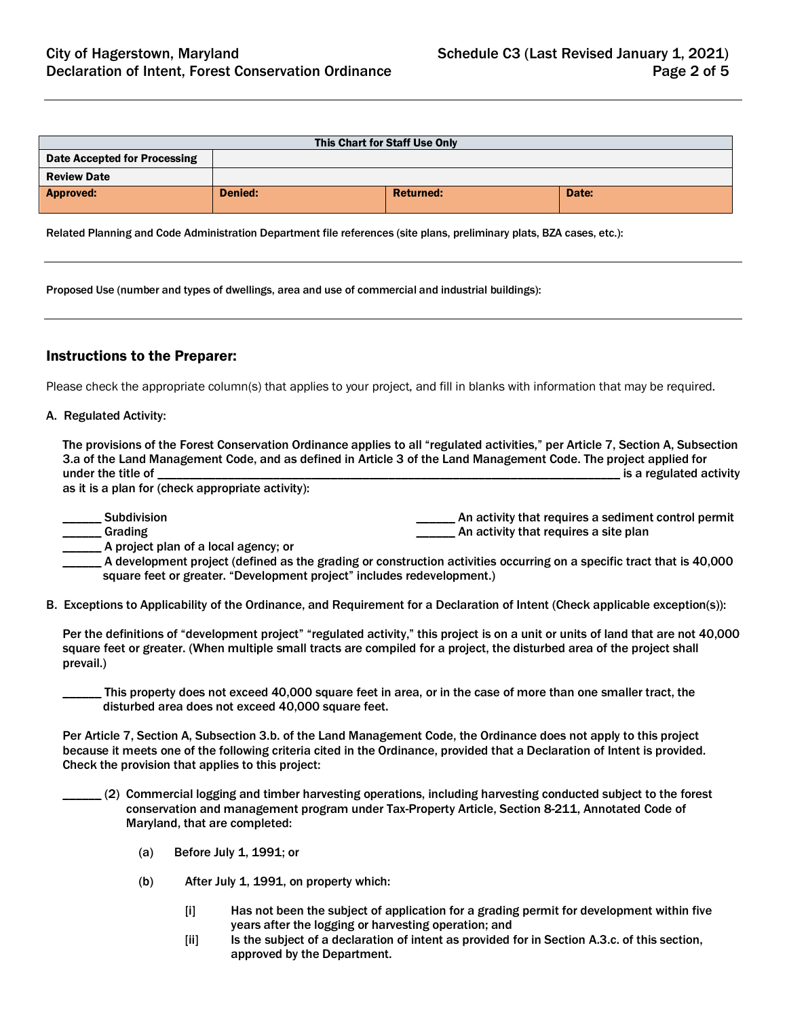| This Chart for Staff Use Only       |         |                  |       |  |
|-------------------------------------|---------|------------------|-------|--|
| <b>Date Accepted for Processing</b> |         |                  |       |  |
| <b>Review Date</b>                  |         |                  |       |  |
| <b>Approved:</b>                    | Denied: | <b>Returned:</b> | Date: |  |
|                                     |         |                  |       |  |

Related Planning and Code Administration Department file references (site plans, preliminary plats, BZA cases, etc.):

Proposed Use (number and types of dwellings, area and use of commercial and industrial buildings):

# Instructions to the Preparer:

Please check the appropriate column(s) that applies to your project, and fill in blanks with information that may be required.

#### A. Regulated Activity:

| The provisions of the Forest Conservation Ordinance applies to all "regulated activities," per Article 7, Section A, Subsection |                         |
|---------------------------------------------------------------------------------------------------------------------------------|-------------------------|
| 3.a of the Land Management Code, and as defined in Article 3 of the Land Management Code. The project applied for               |                         |
| under the title of                                                                                                              | is a regulated activity |
| as it is a plan far (sheal, appropriate asticite).                                                                              |                         |

as it is a plan for (check appropriate activity):

| <b>Subdivision</b>                     | An activity that requires a sediment control permit |
|----------------------------------------|-----------------------------------------------------|
| Grading                                | An activity that requires a site plan               |
| . A project plan of a local agency; or |                                                     |

A development project (defined as the grading or construction activities occurring on a specific tract that is 40,000 square feet or greater. "Development project" includes redevelopment.)

B. Exceptions to Applicability of the Ordinance, and Requirement for a Declaration of Intent (Check applicable exception(s)):

Per the definitions of "development project" "regulated activity," this project is on a unit or units of land that are not 40,000 square feet or greater. (When multiple small tracts are compiled for a project, the disturbed area of the project shall prevail.)

This property does not exceed 40,000 square feet in area, or in the case of more than one smaller tract, the disturbed area does not exceed 40,000 square feet.

Per Article 7, Section A, Subsection 3.b. of the Land Management Code, the Ordinance does not apply to this project because it meets one of the following criteria cited in the Ordinance, provided that a Declaration of Intent is provided. Check the provision that applies to this project:

- \_\_\_\_\_\_ (2) Commercial logging and timber harvesting operations, including harvesting conducted subject to the forest conservation and management program under Tax-Property Article, Section 8-211, Annotated Code of Maryland, that are completed:
	- (a) Before July 1, 1991; or
	- (b) After July 1, 1991, on property which:
		- [i] Has not been the subject of application for a grading permit for development within five years after the logging or harvesting operation; and
		- [ii] Is the subject of a declaration of intent as provided for in Section A.3.c. of this section, approved by the Department.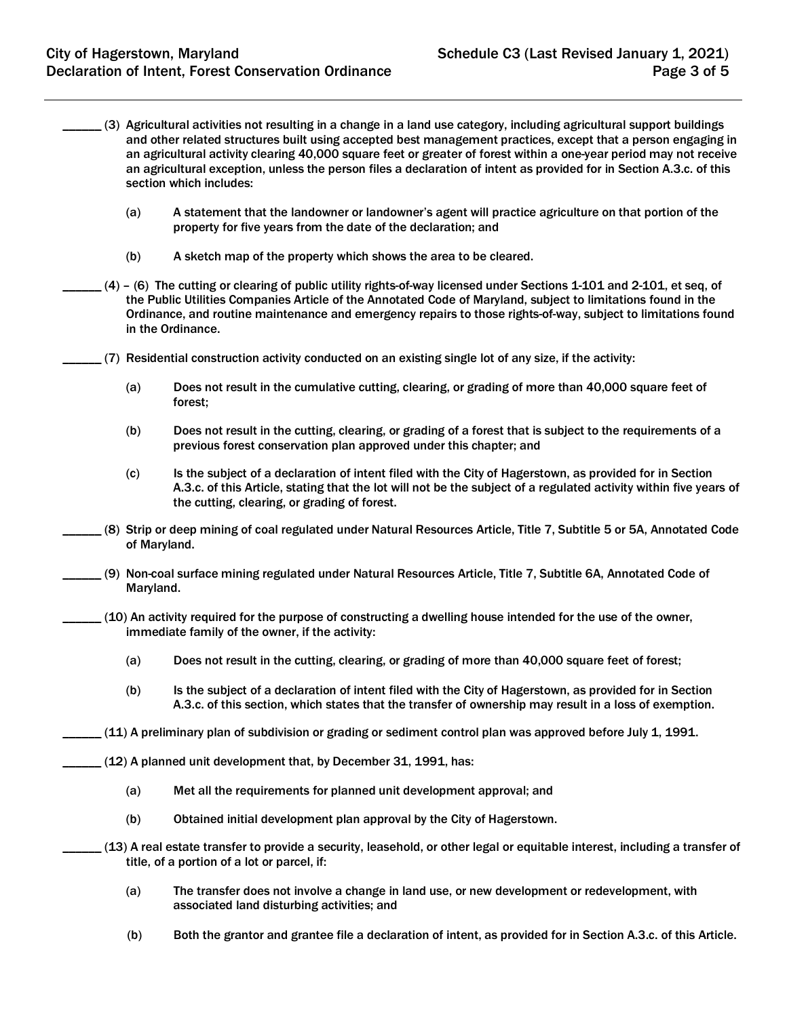- \_\_\_\_\_\_ (3) Agricultural activities not resulting in a change in a land use category, including agricultural support buildings and other related structures built using accepted best management practices, except that a person engaging in an agricultural activity clearing 40,000 square feet or greater of forest within a one-year period may not receive an agricultural exception, unless the person files a declaration of intent as provided for in Section A.3.c. of this section which includes:
	- (a) A statement that the landowner or landowner's agent will practice agriculture on that portion of the property for five years from the date of the declaration; and
	- (b) A sketch map of the property which shows the area to be cleared.
- $(4)$  (6) The cutting or clearing of public utility rights-of-way licensed under Sections 1-101 and 2-101, et seq, of the Public Utilities Companies Article of the Annotated Code of Maryland, subject to limitations found in the Ordinance, and routine maintenance and emergency repairs to those rights-of-way, subject to limitations found in the Ordinance.
- \_\_\_\_\_\_ (7) Residential construction activity conducted on an existing single lot of any size, if the activity:
	- (a) Does not result in the cumulative cutting, clearing, or grading of more than 40,000 square feet of forest;
	- (b) Does not result in the cutting, clearing, or grading of a forest that is subject to the requirements of a previous forest conservation plan approved under this chapter; and
	- (c) Is the subject of a declaration of intent filed with the City of Hagerstown, as provided for in Section A.3.c. of this Article, stating that the lot will not be the subject of a regulated activity within five years of the cutting, clearing, or grading of forest.
- \_\_\_\_\_\_ (8) Strip or deep mining of coal regulated under Natural Resources Article, Title 7, Subtitle 5 or 5A, Annotated Code of Maryland.
- \_\_\_\_\_\_ (9) Non-coal surface mining regulated under Natural Resources Article, Title 7, Subtitle 6A, Annotated Code of Maryland.
- $(10)$  An activity required for the purpose of constructing a dwelling house intended for the use of the owner. immediate family of the owner, if the activity:
	- (a) Does not result in the cutting, clearing, or grading of more than 40,000 square feet of forest;
	- (b) Is the subject of a declaration of intent filed with the City of Hagerstown, as provided for in Section A.3.c. of this section, which states that the transfer of ownership may result in a loss of exemption.
- \_\_\_\_\_\_ (11) A preliminary plan of subdivision or grading or sediment control plan was approved before July 1, 1991.
- \_\_\_\_\_\_ (12) A planned unit development that, by December 31, 1991, has:
	- (a) Met all the requirements for planned unit development approval; and
	- (b) Obtained initial development plan approval by the City of Hagerstown.
- \_\_\_\_\_\_ (13) A real estate transfer to provide a security, leasehold, or other legal or equitable interest, including a transfer of title, of a portion of a lot or parcel, if:
	- (a) The transfer does not involve a change in land use, or new development or redevelopment, with associated land disturbing activities; and
	- (b) Both the grantor and grantee file a declaration of intent, as provided for in Section A.3.c. of this Article.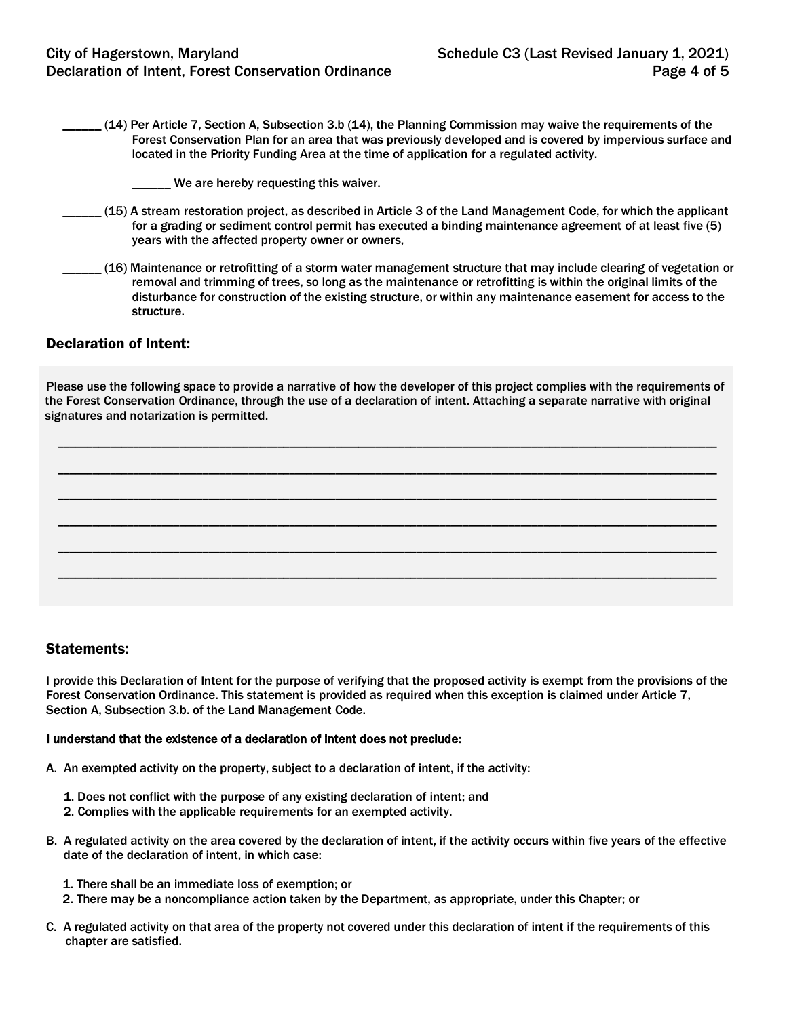- \_\_\_\_\_\_ (14) Per Article 7, Section A, Subsection 3.b (14), the Planning Commission may waive the requirements of the Forest Conservation Plan for an area that was previously developed and is covered by impervious surface and located in the Priority Funding Area at the time of application for a regulated activity.
	- \_\_\_\_\_\_ We are hereby requesting this waiver.
- \_\_\_\_\_\_ (15) A stream restoration project, as described in Article 3 of the Land Management Code, for which the applicant for a grading or sediment control permit has executed a binding maintenance agreement of at least five (5) years with the affected property owner or owners,
- \_\_\_\_\_\_ (16) Maintenance or retrofitting of a storm water management structure that may include clearing of vegetation or removal and trimming of trees, so long as the maintenance or retrofitting is within the original limits of the disturbance for construction of the existing structure, or within any maintenance easement for access to the structure.

# Declaration of Intent:

Please use the following space to provide a narrative of how the developer of this project complies with the requirements of the Forest Conservation Ordinance, through the use of a declaration of intent. Attaching a separate narrative with original signatures and notarization is permitted.

\_\_\_\_\_\_\_\_\_\_\_\_\_\_\_\_\_\_\_\_\_\_\_\_\_\_\_\_\_\_\_\_\_\_\_\_\_\_\_\_\_\_\_\_\_\_\_\_\_\_\_\_\_\_\_\_\_\_\_\_\_\_\_\_\_\_\_\_\_\_\_\_\_\_\_\_\_\_\_\_\_\_\_\_\_\_\_\_\_\_\_\_\_\_\_\_\_\_\_\_\_\_\_\_\_\_\_\_\_\_\_\_\_\_

\_\_\_\_\_\_\_\_\_\_\_\_\_\_\_\_\_\_\_\_\_\_\_\_\_\_\_\_\_\_\_\_\_\_\_\_\_\_\_\_\_\_\_\_\_\_\_\_\_\_\_\_\_\_\_\_\_\_\_\_\_\_\_\_\_\_\_\_\_\_\_\_\_\_\_\_\_\_\_\_\_\_\_\_\_\_\_\_\_\_\_\_\_\_\_\_\_\_\_\_\_\_\_\_\_\_\_\_\_\_\_\_\_\_

\_\_\_\_\_\_\_\_\_\_\_\_\_\_\_\_\_\_\_\_\_\_\_\_\_\_\_\_\_\_\_\_\_\_\_\_\_\_\_\_\_\_\_\_\_\_\_\_\_\_\_\_\_\_\_\_\_\_\_\_\_\_\_\_\_\_\_\_\_\_\_\_\_\_\_\_\_\_\_\_\_\_\_\_\_\_\_\_\_\_\_\_\_\_\_\_\_\_\_\_\_\_\_\_\_\_\_\_\_\_\_\_\_\_

\_\_\_\_\_\_\_\_\_\_\_\_\_\_\_\_\_\_\_\_\_\_\_\_\_\_\_\_\_\_\_\_\_\_\_\_\_\_\_\_\_\_\_\_\_\_\_\_\_\_\_\_\_\_\_\_\_\_\_\_\_\_\_\_\_\_\_\_\_\_\_\_\_\_\_\_\_\_\_\_\_\_\_\_\_\_\_\_\_\_\_\_\_\_\_\_\_\_\_\_\_\_\_\_\_\_\_\_\_\_\_\_\_\_

\_\_\_\_\_\_\_\_\_\_\_\_\_\_\_\_\_\_\_\_\_\_\_\_\_\_\_\_\_\_\_\_\_\_\_\_\_\_\_\_\_\_\_\_\_\_\_\_\_\_\_\_\_\_\_\_\_\_\_\_\_\_\_\_\_\_\_\_\_\_\_\_\_\_\_\_\_\_\_\_\_\_\_\_\_\_\_\_\_\_\_\_\_\_\_\_\_\_\_\_\_\_\_\_\_\_\_\_\_\_\_\_\_\_

\_\_\_\_\_\_\_\_\_\_\_\_\_\_\_\_\_\_\_\_\_\_\_\_\_\_\_\_\_\_\_\_\_\_\_\_\_\_\_\_\_\_\_\_\_\_\_\_\_\_\_\_\_\_\_\_\_\_\_\_\_\_\_\_\_\_\_\_\_\_\_\_\_\_\_\_\_\_\_\_\_\_\_\_\_\_\_\_\_\_\_\_\_\_\_\_\_\_\_\_\_\_\_\_\_\_\_\_\_\_\_\_\_\_

## Statements:

I provide this Declaration of Intent for the purpose of verifying that the proposed activity is exempt from the provisions of the Forest Conservation Ordinance. This statement is provided as required when this exception is claimed under Article 7, Section A, Subsection 3.b. of the Land Management Code.

#### I understand that the existence of a declaration of intent does not preclude:

- A. An exempted activity on the property, subject to a declaration of intent, if the activity:
	- 1. Does not conflict with the purpose of any existing declaration of intent; and
	- 2. Complies with the applicable requirements for an exempted activity.
- B. A regulated activity on the area covered by the declaration of intent, if the activity occurs within five years of the effective date of the declaration of intent, in which case:
	- 1. There shall be an immediate loss of exemption; or
	- 2. There may be a noncompliance action taken by the Department, as appropriate, under this Chapter; or
- C. A regulated activity on that area of the property not covered under this declaration of intent if the requirements of this chapter are satisfied.